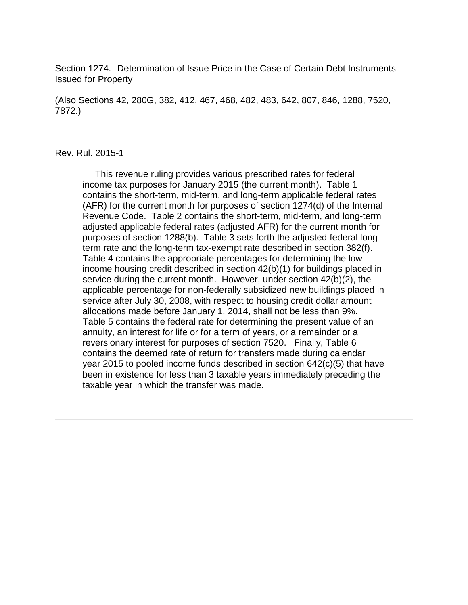Section 1274.--Determination of Issue Price in the Case of Certain Debt Instruments Issued for Property

(Also Sections 42, 280G, 382, 412, 467, 468, 482, 483, 642, 807, 846, 1288, 7520, 7872.)

#### Rev. Rul. 2015-1

 This revenue ruling provides various prescribed rates for federal income tax purposes for January 2015 (the current month). Table 1 contains the short-term, mid-term, and long-term applicable federal rates (AFR) for the current month for purposes of section 1274(d) of the Internal Revenue Code. Table 2 contains the short-term, mid-term, and long-term adjusted applicable federal rates (adjusted AFR) for the current month for purposes of section 1288(b). Table 3 sets forth the adjusted federal longterm rate and the long-term tax-exempt rate described in section 382(f). Table 4 contains the appropriate percentages for determining the lowincome housing credit described in section 42(b)(1) for buildings placed in service during the current month. However, under section 42(b)(2), the applicable percentage for non-federally subsidized new buildings placed in service after July 30, 2008, with respect to housing credit dollar amount allocations made before January 1, 2014, shall not be less than 9%. Table 5 contains the federal rate for determining the present value of an annuity, an interest for life or for a term of years, or a remainder or a reversionary interest for purposes of section 7520. Finally, Table 6 contains the deemed rate of return for transfers made during calendar year 2015 to pooled income funds described in section 642(c)(5) that have been in existence for less than 3 taxable years immediately preceding the taxable year in which the transfer was made.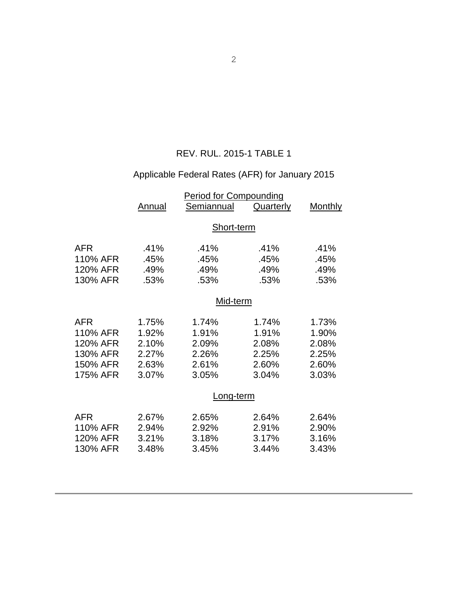## REV. RUL. 2015-1 TABLE 1

# Applicable Federal Rates (AFR) for January 2015

|                                                                        | Annual                                             | <b>Period for Compounding</b><br><b>Semiannual</b> | Quarterly                                          | <u>Monthly</u>                                     |  |
|------------------------------------------------------------------------|----------------------------------------------------|----------------------------------------------------|----------------------------------------------------|----------------------------------------------------|--|
|                                                                        | Short-term                                         |                                                    |                                                    |                                                    |  |
| <b>AFR</b><br>110% AFR<br>120% AFR<br>130% AFR                         | .41%<br>.45%<br>.49%<br>.53%                       | .41%<br>.45%<br>.49%<br>.53%                       | .41%<br>.45%<br>.49%<br>.53%                       | .41%<br>.45%<br>.49%<br>.53%                       |  |
|                                                                        | Mid-term                                           |                                                    |                                                    |                                                    |  |
| <b>AFR</b><br>110% AFR<br>120% AFR<br>130% AFR<br>150% AFR<br>175% AFR | 1.75%<br>1.92%<br>2.10%<br>2.27%<br>2.63%<br>3.07% | 1.74%<br>1.91%<br>2.09%<br>2.26%<br>2.61%<br>3.05% | 1.74%<br>1.91%<br>2.08%<br>2.25%<br>2.60%<br>3.04% | 1.73%<br>1.90%<br>2.08%<br>2.25%<br>2.60%<br>3.03% |  |
|                                                                        | Long-term                                          |                                                    |                                                    |                                                    |  |
| AFR<br>110% AFR<br>120% AFR<br>130% AFR                                | 2.67%<br>2.94%<br>3.21%<br>3.48%                   | 2.65%<br>2.92%<br>3.18%<br>3.45%                   | 2.64%<br>2.91%<br>3.17%<br>3.44%                   | 2.64%<br>2.90%<br>3.16%<br>3.43%                   |  |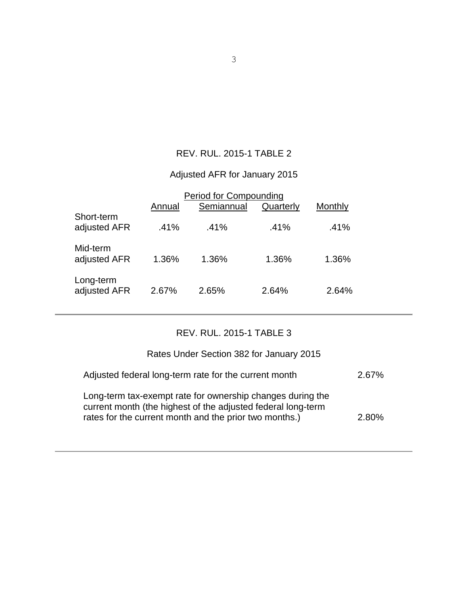## REV. RUL. 2015-1 TABLE 2

# Adjusted AFR for January 2015

|                            | Annual | <b>Period for Compounding</b><br>Semiannual | Quarterly | Monthly |  |
|----------------------------|--------|---------------------------------------------|-----------|---------|--|
| Short-term<br>adjusted AFR | .41%   | .41%                                        | .41%      | .41%    |  |
| Mid-term<br>adjusted AFR   | 1.36%  | 1.36%                                       | 1.36%     | 1.36%   |  |
| Long-term<br>adjusted AFR  | 2.67%  | 2.65%                                       | 2.64%     | 2.64%   |  |

### REV. RUL. 2015-1 TABLE 3

| Rates Under Section 382 for January 2015                                                                                                                                             |          |
|--------------------------------------------------------------------------------------------------------------------------------------------------------------------------------------|----------|
| Adjusted federal long-term rate for the current month                                                                                                                                | $2.67\%$ |
| Long-term tax-exempt rate for ownership changes during the<br>current month (the highest of the adjusted federal long-term<br>rates for the current month and the prior two months.) | $2.80\%$ |